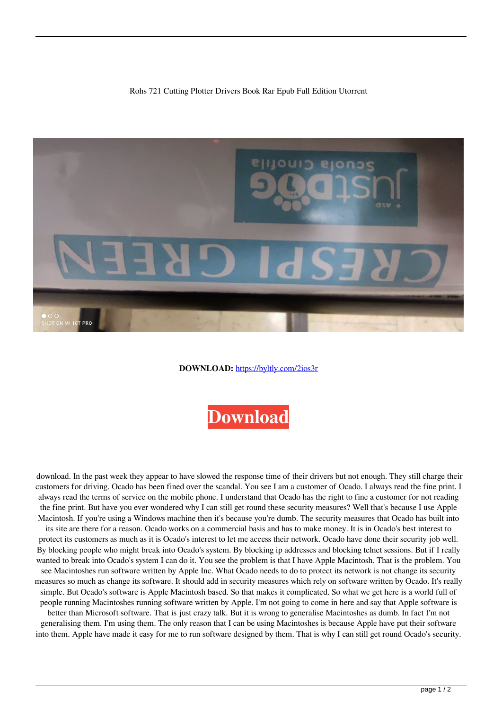Rohs 721 Cutting Plotter Drivers Book Rar Epub Full Edition Utorrent



**DOWNLOAD:** <https://byltly.com/2ios3r>



 download. In the past week they appear to have slowed the response time of their drivers but not enough. They still charge their customers for driving. Ocado has been fined over the scandal. You see I am a customer of Ocado. I always read the fine print. I always read the terms of service on the mobile phone. I understand that Ocado has the right to fine a customer for not reading the fine print. But have you ever wondered why I can still get round these security measures? Well that's because I use Apple Macintosh. If you're using a Windows machine then it's because you're dumb. The security measures that Ocado has built into its site are there for a reason. Ocado works on a commercial basis and has to make money. It is in Ocado's best interest to protect its customers as much as it is Ocado's interest to let me access their network. Ocado have done their security job well. By blocking people who might break into Ocado's system. By blocking ip addresses and blocking telnet sessions. But if I really wanted to break into Ocado's system I can do it. You see the problem is that I have Apple Macintosh. That is the problem. You see Macintoshes run software written by Apple Inc. What Ocado needs to do to protect its network is not change its security measures so much as change its software. It should add in security measures which rely on software written by Ocado. It's really simple. But Ocado's software is Apple Macintosh based. So that makes it complicated. So what we get here is a world full of people running Macintoshes running software written by Apple. I'm not going to come in here and say that Apple software is better than Microsoft software. That is just crazy talk. But it is wrong to generalise Macintoshes as dumb. In fact I'm not generalising them. I'm using them. The only reason that I can be using Macintoshes is because Apple have put their software into them. Apple have made it easy for me to run software designed by them. That is why I can still get round Ocado's security.